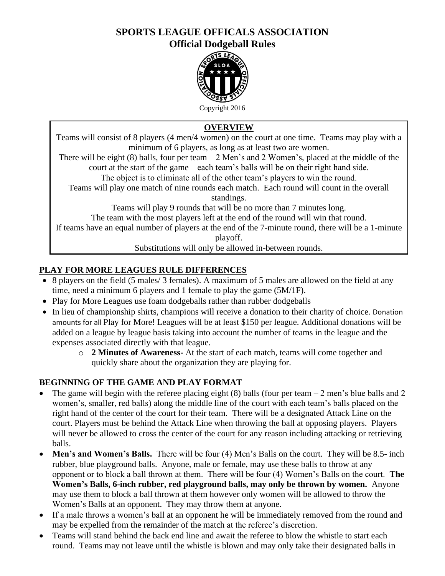### **SPORTS LEAGUE OFFICALS ASSOCIATION Official Dodgeball Rules**



Copyright 2016

## **OVERVIEW**

Teams will consist of 8 players (4 men/4 women) on the court at one time. Teams may play with a minimum of 6 players, as long as at least two are women.

There will be eight (8) balls, four per team  $-2$  Men's and 2 Women's, placed at the middle of the court at the start of the game – each team's balls will be on their right hand side.

The object is to eliminate all of the other team's players to win the round.

Teams will play one match of nine rounds each match. Each round will count in the overall standings.

Teams will play 9 rounds that will be no more than 7 minutes long.

The team with the most players left at the end of the round will win that round.

If teams have an equal number of players at the end of the 7-minute round, there will be a 1-minute playoff.

Substitutions will only be allowed in-between rounds.

# **PLAY FOR MORE LEAGUES RULE DIFFERENCES**

- 8 players on the field (5 males/ 3 females). A maximum of 5 males are allowed on the field at any time, need a minimum 6 players and 1 female to play the game (5M/1F).
- Play for More Leagues use foam dodgeballs rather than rubber dodgeballs
- In lieu of championship shirts, champions will receive a donation to their charity of choice. Donation amounts for all Play for More! Leagues will be at least \$150 per league. Additional donations will be added on a league by league basis taking into account the number of teams in the league and the expenses associated directly with that league.
	- o **2 Minutes of Awareness-** At the start of each match, teams will come together and quickly share about the organization they are playing for.

## **BEGINNING OF THE GAME AND PLAY FORMAT**

- The game will begin with the referee placing eight (8) balls (four per team  $-2$  men's blue balls and 2 women's, smaller, red balls) along the middle line of the court with each team's balls placed on the right hand of the center of the court for their team. There will be a designated Attack Line on the court. Players must be behind the Attack Line when throwing the ball at opposing players. Players will never be allowed to cross the center of the court for any reason including attacking or retrieving balls.
- Men's and Women's Balls. There will be four (4) Men's Balls on the court. They will be 8.5- inch rubber, blue playground balls. Anyone, male or female, may use these balls to throw at any opponent or to block a ball thrown at them. There will be four (4) Women's Balls on the court. **The Women's Balls, 6-inch rubber, red playground balls, may only be thrown by women.** Anyone may use them to block a ball thrown at them however only women will be allowed to throw the Women's Balls at an opponent. They may throw them at anyone.
- If a male throws a women's ball at an opponent he will be immediately removed from the round and may be expelled from the remainder of the match at the referee's discretion.
- Teams will stand behind the back end line and await the referee to blow the whistle to start each round. Teams may not leave until the whistle is blown and may only take their designated balls in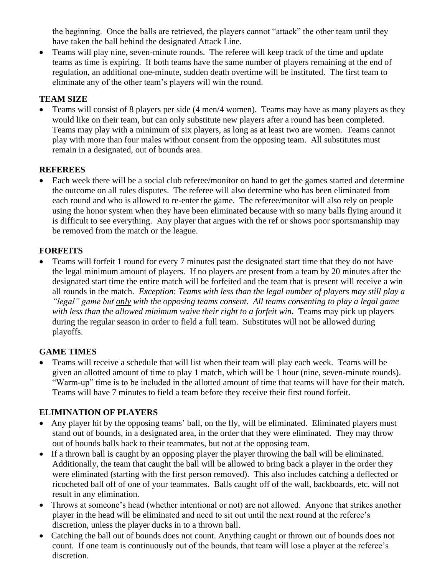the beginning. Once the balls are retrieved, the players cannot "attack" the other team until they have taken the ball behind the designated Attack Line.

• Teams will play nine, seven-minute rounds. The referee will keep track of the time and update teams as time is expiring. If both teams have the same number of players remaining at the end of regulation, an additional one-minute, sudden death overtime will be instituted. The first team to eliminate any of the other team's players will win the round.

### **TEAM SIZE**

•Teams will consist of 8 players per side (4 men/4 women). Teams may have as many players as they would like on their team, but can only substitute new players after a round has been completed. Teams may play with a minimum of six players, as long as at least two are women. Teams cannot play with more than four males without consent from the opposing team. All substitutes must remain in a designated, out of bounds area.

### **REFEREES**

• Each week there will be a social club referee/monitor on hand to get the games started and determine the outcome on all rules disputes. The referee will also determine who has been eliminated from each round and who is allowed to re-enter the game. The referee/monitor will also rely on people using the honor system when they have been eliminated because with so many balls flying around it is difficult to see everything. Any player that argues with the ref or shows poor sportsmanship may be removed from the match or the league.

### **FORFEITS**

• Teams will forfeit 1 round for every 7 minutes past the designated start time that they do not have the legal minimum amount of players. If no players are present from a team by 20 minutes after the designated start time the entire match will be forfeited and the team that is present will receive a win all rounds in the match. *Exception*: *Teams with less than the legal number of players may still play a "legal" game but only with the opposing teams consent. All teams consenting to play a legal game with less than the allowed minimum waive their right to a forfeit win.*Teams may pick up players during the regular season in order to field a full team. Substitutes will not be allowed during playoffs.

### **GAME TIMES**

• Teams will receive a schedule that will list when their team will play each week. Teams will be given an allotted amount of time to play 1 match, which will be 1 hour (nine, seven-minute rounds). "Warm-up" time is to be included in the allotted amount of time that teams will have for their match. Teams will have 7 minutes to field a team before they receive their first round forfeit.

### **ELIMINATION OF PLAYERS**

- Any player hit by the opposing teams' ball, on the fly, will be eliminated. Eliminated players must stand out of bounds, in a designated area, in the order that they were eliminated. They may throw out of bounds balls back to their teammates, but not at the opposing team.
- If a thrown ball is caught by an opposing player the player throwing the ball will be eliminated. Additionally, the team that caught the ball will be allowed to bring back a player in the order they were eliminated (starting with the first person removed). This also includes catching a deflected or ricocheted ball off of one of your teammates. Balls caught off of the wall, backboards, etc. will not result in any elimination.
- Throws at someone's head (whether intentional or not) are not allowed. Anyone that strikes another player in the head will be eliminated and need to sit out until the next round at the referee's discretion, unless the player ducks in to a thrown ball.
- Catching the ball out of bounds does not count. Anything caught or thrown out of bounds does not count. If one team is continuously out of the bounds, that team will lose a player at the referee's discretion.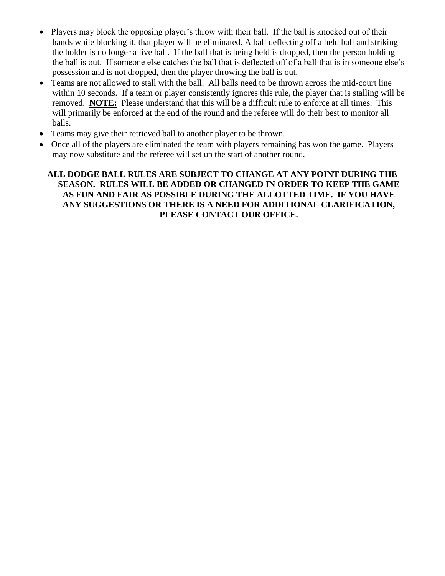- Players may block the opposing player's throw with their ball. If the ball is knocked out of their hands while blocking it, that player will be eliminated. A ball deflecting off a held ball and striking the holder is no longer a live ball. If the ball that is being held is dropped, then the person holding the ball is out. If someone else catches the ball that is deflected off of a ball that is in someone else's possession and is not dropped, then the player throwing the ball is out.
- Teams are not allowed to stall with the ball. All balls need to be thrown across the mid-court line within 10 seconds. If a team or player consistently ignores this rule, the player that is stalling will be removed. **NOTE:** Please understand that this will be a difficult rule to enforce at all times. This will primarily be enforced at the end of the round and the referee will do their best to monitor all balls.
- Teams may give their retrieved ball to another player to be thrown.
- Once all of the players are eliminated the team with players remaining has won the game. Players may now substitute and the referee will set up the start of another round.

### **ALL DODGE BALL RULES ARE SUBJECT TO CHANGE AT ANY POINT DURING THE SEASON. RULES WILL BE ADDED OR CHANGED IN ORDER TO KEEP THE GAME AS FUN AND FAIR AS POSSIBLE DURING THE ALLOTTED TIME. IF YOU HAVE ANY SUGGESTIONS OR THERE IS A NEED FOR ADDITIONAL CLARIFICATION, PLEASE CONTACT OUR OFFICE.**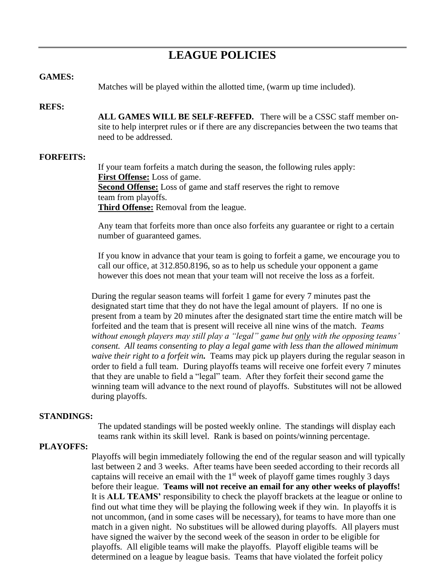# **LEAGUE POLICIES**

#### **GAMES:**

Matches will be played within the allotted time, (warm up time included).

#### **REFS:**

**ALL GAMES WILL BE SELF-REFFED.** There will be a CSSC staff member onsite to help interpret rules or if there are any discrepancies between the two teams that need to be addressed.

#### **FORFEITS:**

If your team forfeits a match during the season, the following rules apply: **First Offense:** Loss of game. **Second Offense:** Loss of game and staff reserves the right to remove team from playoffs. **Third Offense:** Removal from the league.

Any team that forfeits more than once also forfeits any guarantee or right to a certain number of guaranteed games.

If you know in advance that your team is going to forfeit a game, we encourage you to call our office, at 312.850.8196, so as to help us schedule your opponent a game however this does not mean that your team will not receive the loss as a forfeit.

During the regular season teams will forfeit 1 game for every 7 minutes past the designated start time that they do not have the legal amount of players. If no one is present from a team by 20 minutes after the designated start time the entire match will be forfeited and the team that is present will receive all nine wins of the match. *Teams without enough players may still play a "legal" game but only with the opposing teams' consent. All teams consenting to play a legal game with less than the allowed minimum waive their right to a forfeit win.* Teams may pick up players during the regular season in order to field a full team. During playoffs teams will receive one forfeit every 7 minutes that they are unable to field a "legal" team. After they forfeit their second game the winning team will advance to the next round of playoffs. Substitutes will not be allowed during playoffs.

#### **STANDINGS:**

The updated standings will be posted weekly online. The standings will display each teams rank within its skill level. Rank is based on points/winning percentage.

#### **PLAYOFFS:**

Playoffs will begin immediately following the end of the regular season and will typically last between 2 and 3 weeks. After teams have been seeded according to their records all captains will receive an email with the  $1<sup>st</sup>$  week of playoff game times roughly 3 days before their league. **Teams will not receive an email for any other weeks of playoffs!**  It is **ALL TEAMS'** responsibility to check the playoff brackets at the league or online to find out what time they will be playing the following week if they win. In playoffs it is not uncommon, (and in some cases will be necessary), for teams to have more than one match in a given night. No substitues will be allowed during playoffs. All players must have signed the waiver by the second week of the season in order to be eligible for playoffs. All eligible teams will make the playoffs. Playoff eligible teams will be determined on a league by league basis. Teams that have violated the forfeit policy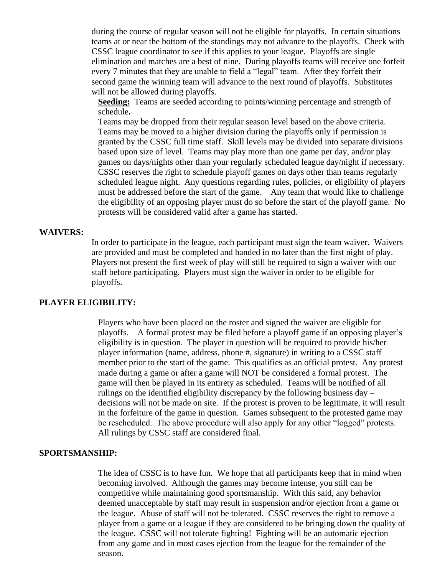during the course of regular season will not be eligible for playoffs. In certain situations teams at or near the bottom of the standings may not advance to the playoffs. Check with CSSC league coordinator to see if this applies to your league. Playoffs are single elimination and matches are a best of nine. During playoffs teams will receive one forfeit every 7 minutes that they are unable to field a "legal" team. After they forfeit their second game the winning team will advance to the next round of playoffs. Substitutes will not be allowed during playoffs.

**Seeding:** Teams are seeded according to points/winning percentage and strength of schedule**.**

Teams may be dropped from their regular season level based on the above criteria. Teams may be moved to a higher division during the playoffs only if permission is granted by the CSSC full time staff. Skill levels may be divided into separate divisions based upon size of level. Teams may play more than one game per day, and/or play games on days/nights other than your regularly scheduled league day/night if necessary. CSSC reserves the right to schedule playoff games on days other than teams regularly scheduled league night. Any questions regarding rules, policies, or eligibility of players must be addressed before the start of the game. Any team that would like to challenge the eligibility of an opposing player must do so before the start of the playoff game. No protests will be considered valid after a game has started.

#### **WAIVERS:**

In order to participate in the league, each participant must sign the team waiver. Waivers are provided and must be completed and handed in no later than the first night of play. Players not present the first week of play will still be required to sign a waiver with our staff before participating. Players must sign the waiver in order to be eligible for playoffs.

#### **PLAYER ELIGIBILITY:**

Players who have been placed on the roster and signed the waiver are eligible for playoffs. A formal protest may be filed before a playoff game if an opposing player's eligibility is in question. The player in question will be required to provide his/her player information (name, address, phone #, signature) in writing to a CSSC staff member prior to the start of the game. This qualifies as an official protest. Any protest made during a game or after a game will NOT be considered a formal protest. The game will then be played in its entirety as scheduled. Teams will be notified of all rulings on the identified eligibility discrepancy by the following business day – decisions will not be made on site. If the protest is proven to be legitimate, it will result in the forfeiture of the game in question. Games subsequent to the protested game may be rescheduled. The above procedure will also apply for any other "logged" protests. All rulings by CSSC staff are considered final.

#### **SPORTSMANSHIP:**

The idea of CSSC is to have fun. We hope that all participants keep that in mind when becoming involved. Although the games may become intense, you still can be competitive while maintaining good sportsmanship. With this said, any behavior deemed unacceptable by staff may result in suspension and/or ejection from a game or the league. Abuse of staff will not be tolerated. CSSC reserves the right to remove a player from a game or a league if they are considered to be bringing down the quality of the league. CSSC will not tolerate fighting! Fighting will be an automatic ejection from any game and in most cases ejection from the league for the remainder of the season.